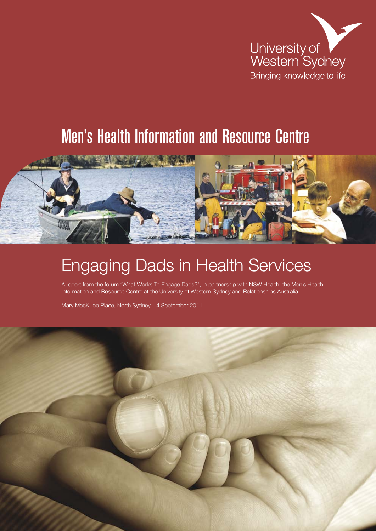

## Men's Health Information and Resource Centre



## Engaging Dads in Health Services

A report from the forum "What Works To Engage Dads?", in partnership with NSW Health, the Men's Health Information and Resource Centre at the University of Western Sydney and Relationships Australia.

Mary MacKillop Place, North Sydney, 14 September 2011

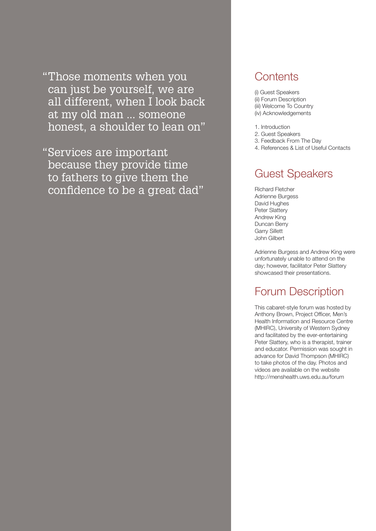"Those moments when you can just be yourself, we are all different, when I look back at my old man ... someone honest, a shoulder to lean on"

"Services are important because they provide time to fathers to give them the confidence to be a great dad"

### **Contents**

- (i) Guest Speakers (ii) Forum Description (iii) Welcome To Country (iv) Acknowledgements
- 1. Introduction
- 2. Guest Speakers
- 3. Feedback From The Day
- 4. References & List of Useful Contacts

### Guest Speakers

Richard Fletcher Adrienne Burgess David Hughes Peter Slattery Andrew King Duncan Berry Garry Sillett John Gilbert

Adrienne Burgess and Andrew King were unfortunately unable to attend on the day; however, facilitator Peter Slattery showcased their presentations.

### Forum Description

This cabaret-style forum was hosted by Anthony Brown, Project Officer, Men's Health Information and Resource Centre (MHIRC), University of Western Sydney and facilitated by the ever-entertaining Peter Slattery, who is a therapist, trainer and educator. Permission was sought in advance for David Thompson (MHIRC) to take photos of the day. Photos and videos are available on the website http://menshealth.uws.edu.au/forum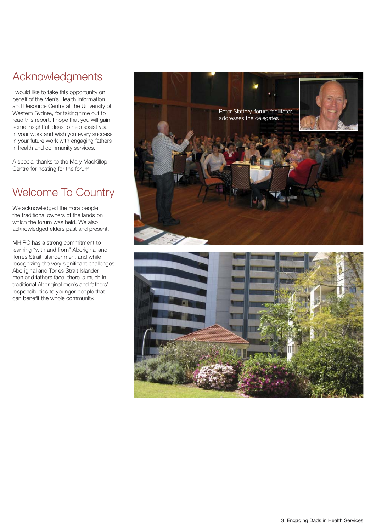### Acknowledgments

I would like to take this opportunity on behalf of the Men's Health Information and Resource Centre at the University of Western Sydney, for taking time out to read this report. I hope that you will gain some insightful ideas to help assist you in your work and wish you every success in your future work with engaging fathers in health and community services.

A special thanks to the Mary MacKillop Centre for hosting for the forum.

### Welcome To Country

We acknowledged the Eora people, the traditional owners of the lands on which the forum was held. We also acknowledged elders past and present.

MHIRC has a strong commitment to learning "with and from" Aboriginal and Torres Strait Islander men, and while recognizing the very significant challenges Aboriginal and Torres Strait Islander men and fathers face, there is much in traditional Aboriginal men's and fathers' responsibilities to younger people that can benefit the whole community.

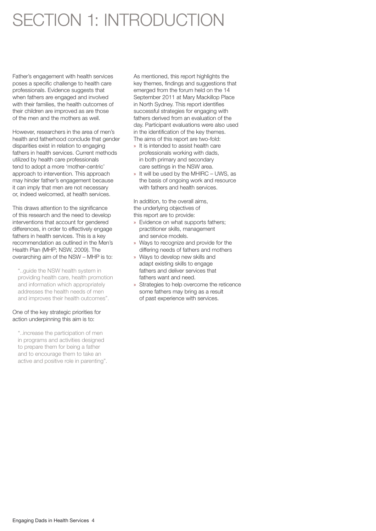## SECTION 1: INTRODUCTION

Father's engagement with health services poses a specific challenge to health care professionals. Evidence suggests that when fathers are engaged and involved with their families, the health outcomes of their children are improved as are those of the men and the mothers as well.

However, researchers in the area of men's health and fatherhood conclude that gender disparities exist in relation to engaging fathers in health services. Current methods utilized by health care professionals tend to adopt a more 'mother-centric' approach to intervention. This approach may hinder father's engagement because it can imply that men are not necessary or, indeed welcomed, at health services.

This draws attention to the significance of this research and the need to develop interventions that account for gendered differences, in order to effectively engage fathers in health services. This is a key recommendation as outlined in the Men's Health Plan (MHP; NSW, 2009). The overarching aim of the NSW – MHP is to:

"..guide the NSW health system in providing health care, health promotion and information which appropriately addresses the health needs of men and improves their health outcomes".

#### One of the key strategic priorities for action underpinning this aim is to:

"..increase the participation of men in programs and activities designed to prepare them for being a father and to encourage them to take an active and positive role in parenting". As mentioned, this report highlights the key themes, findings and suggestions that emerged from the forum held on the 14 September 2011 at Mary Mackillop Place in North Sydney. This report identifies successful strategies for engaging with fathers derived from an evaluation of the day. Participant evaluations were also used in the identification of the key themes. The aims of this report are two-fold:

- » It is intended to assist health care professionals working with dads, in both primary and secondary care settings in the NSW area.
- » It will be used by the MHIRC UWS, as the basis of ongoing work and resource with fathers and health services.

In addition, to the overall aims, the underlying objectives of this report are to provide:

- » Evidence on what supports fathers; practitioner skills, management and service models.
- » Ways to recognize and provide for the differing needs of fathers and mothers
- » Ways to develop new skills and adapt existing skills to engage fathers and deliver services that fathers want and need.
- » Strategies to help overcome the reticence some fathers may bring as a result of past experience with services.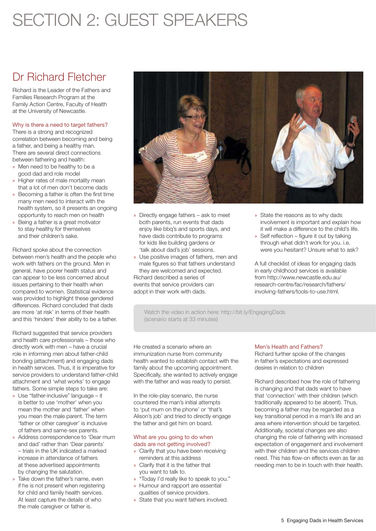## SECTION 2: GUEST SPEAKERS

### Dr Richard Fletcher

Richard is the Leader of the Fathers and Families Research Program at the Family Action Centre, Faculty of Health at the University of Newcastle.

#### Why is there a need to target fathers?

There is a strong and recognized correlation between becoming and being a father, and being a healthy man. There are several direct connections between fathering and health:

- » Men need to be healthy to be a good dad and role model
- » Higher rates of male mortality mean that a lot of men don't become dads
- » Becoming a father is often the first time many men need to interact with the health system, so it presents an ongoing opportunity to reach men on health
- » Being a father is a great motivator to stay healthy for themselves and their children's sake.

Richard spoke about the connection between men's health and the people who work with fathers on the ground. Men in general, have poorer health status and can appear to be less concerned about issues pertaining to their health when compared to women. Statistical evidence was provided to highlight these gendered differences. Richard concluded that dads are more 'at risk' in terms of their health and this 'hinders' their ability to be a father.

Richard suggested that service providers and health care professionals – those who directly work with men – have a crucial role in informing men about father-child bonding (attachment) and engaging dads in health services. Thus, it is imperative for service providers to understand father-child attachment and 'what works' to engage fathers. Some simple steps to take are:

- » Use "father-inclusive" language it is better to use 'mother' when you mean the mother and 'father' when you mean the male parent. The term 'father or other caregiver' is inclusive of fathers and same-sex parents.
- » Address correspondence to 'Dear mum and dad' rather than 'Dear parents' – trials in the UK indicated a marked increase in attendance of fathers at these advertised appointments by changing the salutation.
- » Take down the father's name, even if he is not present when registering for child and family health services. At least capture the details of who the male caregiver or father is.



- » Directly engage fathers ask to meet both parents, run events that dads enjoy like bbq's and sports days, and have dads contribute to programs for kids like building gardens or 'talk about dad's job' sessions.
- » Use positive images of fathers, men and male figures so that fathers understand they are welcomed and expected. Richard described a series of events that service providers can adopt in their work with dads.
- » State the reasons as to why dads involvement is important and explain how it will make a difference to the child's life.
- » Self reflection figure it out by talking through what didn't work for you. i.e. were you hesitant? Unsure what to ask?

A full checklist of ideas for engaging dads in early childhood services is available from http://www.newcastle.edu.au/ research-centre/fac/research/fathers/ involving-fathers/tools-to-use.html.

Watch the video in action here: http://bit.ly/EngagingDads (scenario starts at 33 minutes)

He created a scenario where an immunization nurse from community health wanted to establish contact with the family about the upcoming appointment. Specifically, she wanted to actively engage with the father and was ready to persist.

In the role-play scenario, the nurse countered the man's initial attempts to 'put mum on the phone' or 'that's Alison's job' and tried to directly engage the father and get him on board.

#### What are you going to do when dads are not getting involved?

- » Clarify that you have been receiving reminders at this address
- » Clarify that it is the father that you want to talk to.
- » "Today I'd really like to speak to you."
- » Humour and rapport are essential qualities of service providers.
- » State that you want fathers involved.

#### Men's Health and Fathers?

Richard further spoke of the changes in father's expectations and expressed desires in relation to children

Richard described how the role of fathering is changing and that dads want to have that 'connection' with their children (which traditionally appeared to be absent). Thus, becoming a father may be regarded as a key transitional period in a man's life and an area where intervention should be targeted. Additionally, societal changes are also changing the role of fathering with increased expectation of engagement and involvement with their children and the services children need. This has flow-on effects even as far as needing men to be in touch with their health.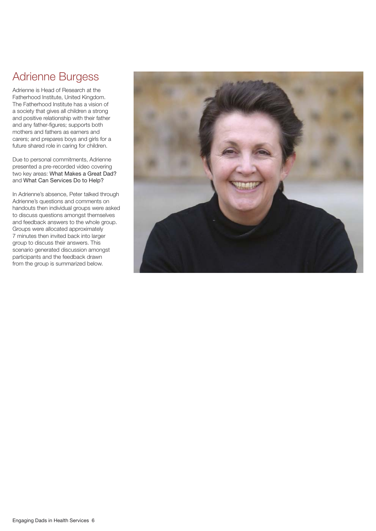### Adrienne Burgess

Adrienne is Head of Research at the Fatherhood Institute, United Kingdom. The Fatherhood Institute has a vision of a society that gives all children a strong and positive relationship with their father and any father-figures; supports both mothers and fathers as earners and carers; and prepares boys and girls for a future shared role in caring for children.

Due to personal commitments, Adrienne presented a pre-recorded video covering two key areas: What Makes a Great Dad? and What Can Services Do to Help?

In Adrienne's absence, Peter talked through Adrienne's questions and comments on handouts then individual groups were asked to discuss questions amongst themselves and feedback answers to the whole group. Groups were allocated approximately 7 minutes then invited back into larger group to discuss their answers. This scenario generated discussion amongst participants and the feedback drawn from the group is summarized below.

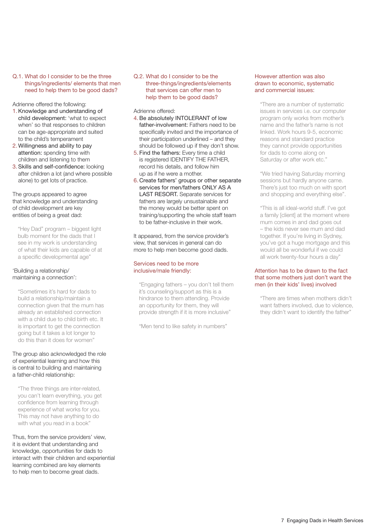#### Q.1. What do I consider to be the three things/ingredients/ elements that men need to help them to be good dads?

Adrienne offered the following:

- 1.Knowledge and understanding of child development: 'what to expect when' so that responses to children can be age-appropriate and suited to the child's temperament
- 2. Willingness and ability to pay attention: spending time with children and listening to them
- 3. Skills and self-confidence: looking after children a lot (and where possible alone) to get lots of practice.

The groups appeared to agree that knowledge and understanding of child development are key entities of being a great dad:

"Hey Dad" program – biggest light bulb moment for the dads that I see in my work is understanding of what their kids are capable of at a specific developmental age"

#### 'Building a relationship/ maintaining a connection':

"Sometimes it's hard for dads to build a relationship/maintain a connection given that the mum has already an established connection with a child due to child birth etc. It is important to get the connection going but it takes a lot longer to do this than it does for women"

#### The group also acknowledged the role of experiential learning and how this is central to building and maintaining a father-child relationship:

"The three things are inter-related, you can't learn everything, you get confidence from learning through experience of what works for you. This may not have anything to do with what you read in a book"

Thus, from the service providers' view, it is evident that understanding and knowledge, opportunities for dads to interact with their children and experiential learning combined are key elements to help men to become great dads.

Q.2. What do I consider to be the three-things/ingredients/elements that services can offer men to help them to be good dads?

Adrienne offered:

- 4.Be absolutely INTOLERANT of low father-involvement: Fathers need to be specifically invited and the importance of their participation underlined – and they should be followed up if they don't show.
- 5. Find the fathers: Every time a child is registered IDENTIFY THE FATHER, record his details, and follow him up as if he were a mother.
- 6. Create fathers' groups or other separate services for men/fathers ONLY AS A LAST RESORT. Separate services for fathers are largely unsustainable and the money would be better spent on training/supporting the whole staff team to be father-inclusive in their work.

It appeared, from the service provider's view, that services in general can do more to help men become good dads.

#### Services need to be more inclusive/male friendly:

"Engaging fathers – you don't tell them it's counseling/support as this is a hindrance to them attending. Provide an opportunity for them, they will provide strength if it is more inclusive"

"Men tend to like safety in numbers"

#### However attention was also drawn to economic, systematic and commercial issues:

"There are a number of systematic issues in services i.e. our computer program only works from mother's name and the father's name is not linked. Work hours 9-5, economic reasons and standard practice they cannot provide opportunities for dads to come along on Saturday or after work etc."

"We tried having Saturday morning sessions but hardly anyone came. There's just too much on with sport and shopping and everything else".

"This is all ideal-world stuff. I've got a family [client] at the moment where mum comes in and dad goes out – the kids never see mum and dad together. If you're living in Sydney, you've got a huge mortgage and this would all be wonderful if we could all work twenty-four hours a day"

#### Attention has to be drawn to the fact that some mothers just don't want the men (in their kids' lives) involved

"There are times when mothers didn't want fathers involved, due to violence, they didn't want to identify the father"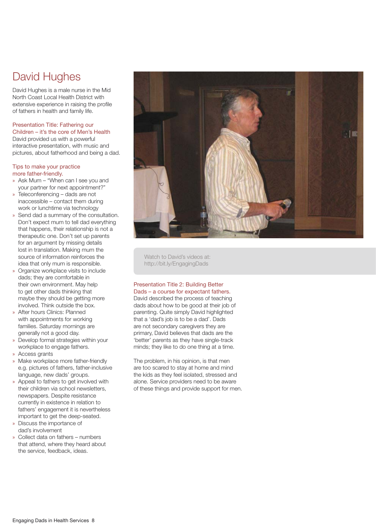### David Hughes

David Hughes is a male nurse in the Mid North Coast Local Health District with extensive experience in raising the profile of fathers in health and family life.

#### Presentation Title: Fathering our Children – it's the core of Men's Health David provided us with a powerful interactive presentation, with music and pictures, about fatherhood and being a dad.

#### Tips to make your practice more father-friendly.

- » Ask Mum "When can I see you and your partner for next appointment?"
- » Teleconferencing dads are not inaccessible – contact them during work or lunchtime via technology
- » Send dad a summary of the consultation. Don't expect mum to tell dad everything that happens, their relationship is not a therapeutic one. Don't set up parents for an argument by missing details lost in translation. Making mum the source of information reinforces the idea that only mum is responsible.
- » Organize workplace visits to include dads; they are comfortable in their own environment. May help to get other dads thinking that maybe they should be getting more involved. Think outside the box.
- » After hours Clinics: Planned with appointments for working families. Saturday mornings are generally not a good day.
- » Develop formal strategies within your workplace to engage fathers.
- » Access grants
- » Make workplace more father-friendly e.g. pictures of fathers, father-inclusive language, new dads' groups.
- » Appeal to fathers to get involved with their children via school newsletters, newspapers. Despite resistance currently in existence in relation to fathers' engagement it is nevertheless important to get the deep-seated.
- » Discuss the importance of dad's involvement
- » Collect data on fathers numbers that attend, where they heard about the service, feedback, ideas.



Watch to David's videos at: http://bit.ly/EngagingDads

#### Presentation Title 2: Building Better Dads – a course for expectant fathers.

David described the process of teaching dads about how to be good at their job of parenting. Quite simply David highlighted that a 'dad's job is to be a dad'. Dads are not secondary caregivers they are primary, David believes that dads are the 'better' parents as they have single-track minds; they like to do one thing at a time.

The problem, in his opinion, is that men are too scared to stay at home and mind the kids as they feel isolated, stressed and alone. Service providers need to be aware of these things and provide support for men.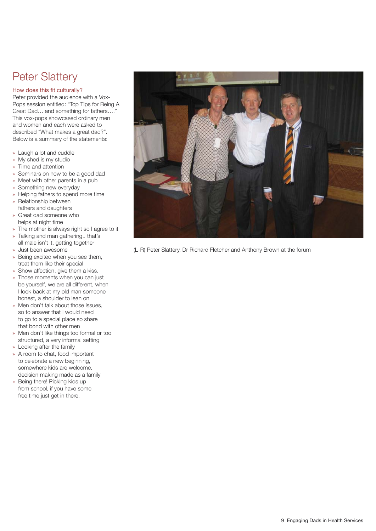### Peter Slattery

#### How does this fit culturally?

Peter provided the audience with a Vox-Pops session entitled: "Top Tips for Being A Great Dad... and something for fathers.... This vox-pops showcased ordinary men and women and each were asked to described "What makes a great dad?". Below is a summary of the statements:

- » Laugh a lot and cuddle
- » My shed is my studio
- » Time and attention
- » Seminars on how to be a good dad
- » Meet with other parents in a pub
- » Something new everyday
- » Helping fathers to spend more time
- » Relationship between fathers and daughters
- » Great dad someone who helps at night time
- » The mother is always right so I agree to it
- » Talking and man gathering.. that's all male isn't it, getting together
- » Just been awesome
- » Being excited when you see them, treat them like their special
- » Show affection, give them a kiss.
- » Those moments when you can just be yourself, we are all different, when I look back at my old man someone honest, a shoulder to lean on
- » Men don't talk about those issues, so to answer that I would need to go to a special place so share that bond with other men
- » Men don't like things too formal or too structured, a very informal setting
- » Looking after the family
- » A room to chat, food important to celebrate a new beginning, somewhere kids are welcome, decision making made as a family
- » Being there! Picking kids up from school, if you have some free time just get in there.



(L-R) Peter Slattery, Dr Richard Fletcher and Anthony Brown at the forum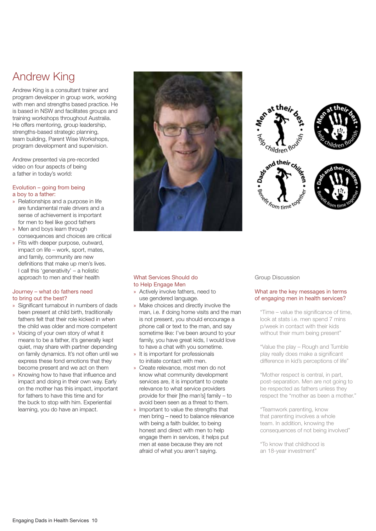### Andrew King

Andrew King is a consultant trainer and program developer in group work, working with men and strengths based practice. He is based in NSW and facilitates groups and training workshops throughout Australia. He offers mentoring, group leadership, strengths-based strategic planning, team building, Parent Wise Workshops, program development and supervision.

Andrew presented via pre-recorded video on four aspects of being a father in today's world:

#### Evolution – going from being a boy to a father:

- » Relationships and a purpose in life are fundamental male drivers and a sense of achievement is important for men to feel like good fathers
- » Men and boys learn through consequences and choices are critical
- » Fits with deeper purpose, outward, impact on life – work, sport, mates, and family, community are new definitions that make up men's lives. I call this 'generativity' – a holistic approach to men and their health

#### Journey – what do fathers need to bring out the best?

- » Significant turnabout in numbers of dads been present at child birth, traditionally fathers felt that their role kicked in when the child was older and more competent
- » Voicing of your own story of what it means to be a father, it's generally kept quiet, may share with partner depending on family dynamics. It's not often until we express these fond emotions that they become present and we act on them
- » Knowing how to have that influence and impact and doing in their own way. Early on the mother has this impact, important for fathers to have this time and for the buck to stop with him. Experiential learning, you do have an impact.



#### What Services Should do to Help Engage Men

- » Actively involve fathers, need to use gendered language.
- » Make choices and directly involve the man, i.e. if doing home visits and the man is not present, you should encourage a phone call or text to the man, and say sometime like: I've been around to your family, you have great kids, I would love to have a chat with you sometime.
- » It is important for professionals to initiate contact with men.
- » Create relevance, most men do not know what community development services are, it is important to create relevance to what service providers provide for their [the man's] family – to avoid been seen as a threat to them.
- » Important to value the strengths that men bring – need to balance relevance with being a faith builder, to being honest and direct with men to help engage them in services, it helps put men at ease because they are not afraid of what you aren't saying.



#### Group Discussion

#### What are the key messages in terms of engaging men in health services?

"Time – value the significance of time, look at stats i.e. men spend 7 mins p/week in contact with their kids without their mum being present"

"Value the play – Rough and Tumble play really does make a significant difference in kid's perceptions of life"

"Mother respect is central, in part, post-separation. Men are not going to be respected as fathers unless they respect the "mother as been a mother."

"Teamwork parenting, know that parenting involves a whole team. In addition, knowing the consequences of not being involved"

"To know that childhood is an 18-year investment"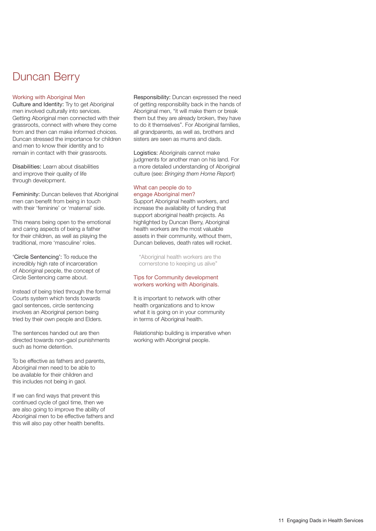### Duncan Berry

#### Working with Aboriginal Men

Culture and Identity: Try to get Aboriginal men involved culturally into services. Getting Aboriginal men connected with their grassroots, connect with where they come from and then can make informed choices. Duncan stressed the importance for children and men to know their identity and to remain in contact with their grassroots.

Disabilities: Learn about disabilities and improve their quality of life through development.

Femininity: Duncan believes that Aboriginal men can benefit from being in touch with their 'feminine' or 'maternal' side.

This means being open to the emotional and caring aspects of being a father for their children, as well as playing the traditional, more 'masculine' roles.

'Circle Sentencing': To reduce the incredibly high rate of incarceration of Aboriginal people, the concept of Circle Sentencing came about.

Instead of being tried through the formal Courts system which tends towards gaol sentences, circle sentencing involves an Aboriginal person being tried by their own people and Elders.

The sentences handed out are then directed towards non-gaol punishments such as home detention.

To be effective as fathers and parents, Aboriginal men need to be able to be available for their children and this includes not being in gaol.

If we can find ways that prevent this continued cycle of gaol time, then we are also going to improve the ability of Aboriginal men to be effective fathers and this will also pay other health benefits.

Responsibility: Duncan expressed the need of getting responsibility back in the hands of Aboriginal men, "it will make them or break them but they are already broken, they have to do it themselves". For Aboriginal families, all grandparents, as well as, brothers and sisters are seen as mums and dads.

Logistics: Aboriginals cannot make judgments for another man on his land. For a more detailed understanding of Aboriginal culture (see: *Bringing them Home Report*)

#### What can people do to engage Aboriginal men?

Support Aboriginal health workers, and increase the availability of funding that support aboriginal health projects. As highlighted by Duncan Berry, Aboriginal health workers are the most valuable assets in their community, without them, Duncan believes, death rates will rocket.

"Aboriginal health workers are the cornerstone to keeping us alive"

#### Tips for Community development workers working with Aboriginals.

It is important to network with other health organizations and to know what it is going on in your community in terms of Aboriginal health.

Relationship building is imperative when working with Aboriginal people.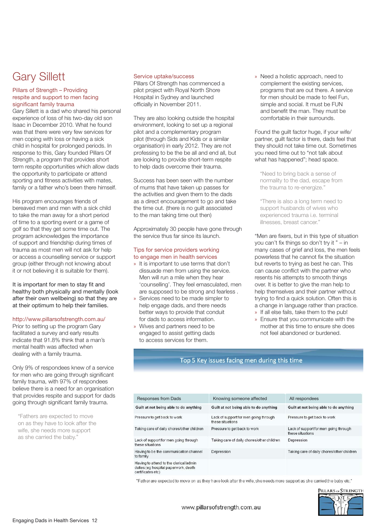### Gary Sillett

#### Pillars of Strength – Providing respite and support to men facing significant family trauma

Gary Sillett is a dad who shared his personal experience of loss of his two-day old son Isaac in December 2010. What he found was that there were very few services for men coping with loss or having a sick child in hospital for prolonged periods. In response to this, Gary founded Pillars Of Strength, a program that provides short term respite opportunities which allow dads the opportunity to participate or attend sporting and fitness activities with mates, family or a father who's been there himself.

His program encourages friends of bereaved men and men with a sick child to take the man away for a short period of time to a sporting event or a game of golf so that they get some time out. The program acknowledges the importance of support and friendship during times of trauma as most men will not ask for help or access a counselling service or support group (either through not knowing about it or not believing it is suitable for them).

It is important for men to stay fit and healthy both physically and mentally (look after their own wellbeing) so that they are at their optimum to help their families.

#### http://www.pillarsofstrength.com.au/

Prior to setting up the program Gary facilitated a survey and early results indicate that 91.8% think that a man's mental health was affected when dealing with a family trauma.

Only 9% of respondees knew of a service for men who are going through significant family trauma, with 97% of respondees believe there is a need for an organisation that provides respite and support for dads going through significant family trauma.

"Fathers are expected to move on as they have to look after the wife, she needs more support as she carried the baby."

#### Service uptake/success

Pillars Of Strength has commenced a pilot project with Royal North Shore Hospital in Sydney and launched officially in November 2011.

They are also looking outside the hospital environment, looking to set up a regional pilot and a complementary program pilot (through Sids and Kids or a similar organisation) in early 2012. They are not professing to be the be all and end all, but are looking to provide short-term respite to help dads overcome their trauma.

Success has been seen with the number of mums that have taken up passes for the activities and given them to the dads as a direct encouragement to go and take the time out. (there is no guilt associated to the man taking time out then)

Approximately 30 people have gone through the service thus far since its launch.

#### Tips for service providers working to engage men in health services

- » It is important to use terms that don't dissuade men from using the service. Men will run a mile when they hear 'counselling'. They feel emasculated, men are supposed to be strong and fearless .
- » Services need to be made simpler to help engage dads, and there needs better ways to provide that conduit for dads to access information.
- » Wives and partners need to be engaged to assist getting dads to access services for them.

» Need a holistic approach, need to complement the existing services, programs that are out there. A service for men should be made to feel Fun, simple and social. It must be FUN and benefit the man. They must be comfortable in their surrounds.

Found the guilt factor huge, if your wife/ partner, guilt factor is there, dads feel that they should not take time out. Sometimes you need time out to "not talk about what has happened"; head space.

"Need to bring back a sense of normality to the dad, escape from the trauma to re-energize."

"There is also a long term need to support husbands of wives who experienced trauma i.e. terminal illnesses, breast cancer."

"Men are fixers, but in this type of situation you can't fix things so don't try it " – in many cases of grief and loss, the men feels powerless that he cannot fix the situation but reverts to trying as best he can. This can cause conflict with the partner who resents his attempts to smooth things over. It is better to give the man help to help themselves and their partner without trying to find a quick solution. Often this is a change in language rather than practice.

- » If all else fails, take them to the pub!
- » Ensure that you communicate with the mother at this time to ensure she does not feel abandoned or burdened.

#### Top 5 Key issues facing men during this time

| <b>Responses from Dads</b>                                                                          | Knowing someone affected                                  | All respondees                                            |
|-----------------------------------------------------------------------------------------------------|-----------------------------------------------------------|-----------------------------------------------------------|
| Guilt at not being able to do anything                                                              | Guilt at not being able to do anything                    | Guilt at not being able to do anything                    |
| Pressure to get back to work                                                                        | Lack of support for men going through<br>these situations | Pressure to get back to work                              |
| Taking care of daily chores/other children                                                          | Pressure to get back to work                              | Lack of support for men going through<br>these situations |
| Lack of support for men going through<br>these situations                                           | Taking care of daily chores/other children                | Depression                                                |
| Having to be the communication channel<br>to family                                                 | Depression                                                | Taking care of daily chores/other children                |
| Having to attend to the clerical/admin<br>duties (eg hospital paperwork, death<br>certificates etc) |                                                           |                                                           |

"Father are expected to move on as they have look after the wife, she needs more support as she carried the baby etc."

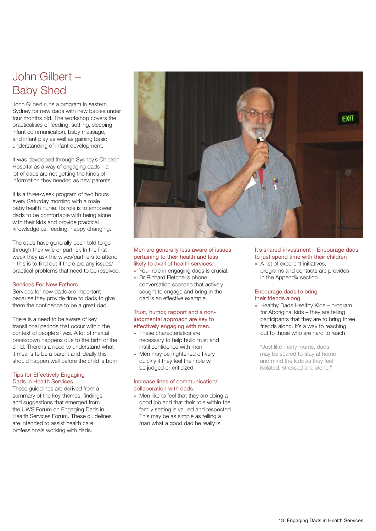### John Gilbert – Baby Shed

John Gilbert runs a program in eastern Sydney for new dads with new babies under four months old. The workshop covers the practicalities of feeding, settling, sleeping, infant communication, baby massage, and infant play as well as gaining basic understanding of infant development.

It was developed through Sydney's Children Hospital as a way of engaging dads – a lot of dads are not getting the kinds of information they needed as new parents.

It is a three-week program of two hours every Saturday morning with a male baby health nurse. Its role is to empower dads to be comfortable with being alone with their kids and provide practical knowledge i.e. feeding, nappy changing.

The dads have generally been told to go through their wife or partner. In the first week they ask the wives/partners to attend – this is to find out if there are any issues/ practical problems that need to be resolved.

#### Services For New Fathers

Services for new dads are important because they provide time to dads to give them the confidence to be a great dad.

There is a need to be aware of key transitional periods that occur within the context of people's lives. A lot of marital breakdown happens due to the birth of the child. There is a need to understand what it means to be a parent and ideally this should happen well before the child is born.

#### Tips for Effectively Engaging Dads in Health Services

These guidelines are derived from a summary of the key themes, findings and suggestions that emerged from the UWS Forum on Engaging Dads in Health Services Forum. These guidelines are intended to assist health care professionals working with dads.



#### Men are generally less aware of issues pertaining to their health and less likely to avail of health services.

- » Your role in engaging dads is crucial.
- » Dr Richard Fletcher's phone conversation scenario that actively sought to engage and bring in the dad is an effective example.

#### Trust, humor, rapport and a nonjudgmental approach are key to effectively engaging with men.

- » These characteristics are necessary to help build trust and instil confidence with men.
- » Men may be frightened off very quickly if they feel their role will be judged or criticized.

#### Increase lines of communication/ collaboration with dads.

» Men like to feel that they are doing a good job and that their role within the family setting is valued and respected. This may be as simple as telling a man what a good dad he really is.

#### It's shared-investment – Encourage dads to just spend time with their children

» A list of excellent initiatives, programs and contacts are provides in the Appendix section.

#### Encourage dads to bring their friends along

» Healthy Dads Healthy Kids – program for Aboriginal kids – they are telling participants that they are to bring three friends along. It's a way to reaching out to those who are hard to reach.

"Just like many mums, dads may be scared to stay at home and mind the kids as they feel isolated, stressed and alone."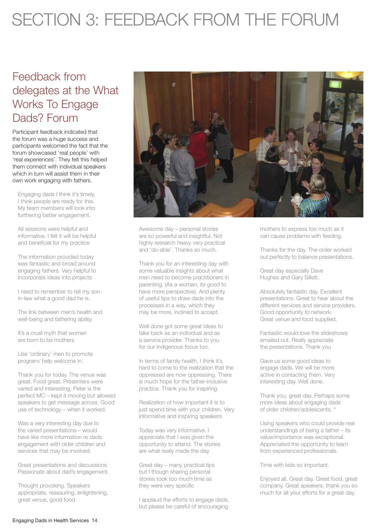## SECTION 3: FEEDBACK FROM THE FORUM

### Feedback from delegates at the What Works To Engage Dads? Forum

Participant feedback indicated that the forum was a huge success and participants welcomed the fact that the forum showcased 'real people' with 'real experiences'. They felt this helped them connect with individual speakers which in turn will assist them in their own work engaging with fathers.

Engaging dads I think it's timely, I think people are ready for this. My team members will look into furthering better engagement.

All sessions were helpful and informative. I felt it will be helpful and beneficial for my practice

The information provided today was fantastic and broad around engaging fathers. Very helpful to incorporate ideas into projects

I need to remember to tell my sonin-law what a good dad he is.

The link between men's health and well-being and fathering ability.

It's a cruel myth that women are born to be mothers

Use 'ordinary' men to promote program/ help welcome in.

Thank you for today. The venue was great. Food great. Presenters were varied and interesting. Peter is the perfect MC – kept it moving but allowed speakers to get message across. Good use of technology – when it worked.

Was a very interesting day due to the varied presentations – would have like more information re dads engagement with older children and services that may be involved.

Great presentations and discussions. Passionate about dad's engagement.

Thought provoking. Speakers appropriate, reassuring, enlightening, great venue, good food.



Awesome day – personal stories are so powerful and insightful. Not highly research heavy very practical and 'do-able'. Thanks so much.

Thank you for an interesting day with some valuable insights about what men need to become practitioners in parenting. (As a woman, its good to have more perspective). And plenty of useful tips to draw dads into the processes in a way, which they may be more, inclined to accept.

Well done got some great ideas to take back as an individual and as a service provider. Thanks to you for our indigenous focus too.

In terms of family health, I think it's hard to come to the realization that the oppressed are now oppressing. There is much hope for the father-inclusive practice. Thank you for inspiring.

Realization of how important it is to just spend time with your children. Very informative and inspiring speakers

Today was very informative. I appreciate that I was given the opportunity to attend. The stories are what really made the day.

Great day – many practical tips but I though sharing personal stories took too much time as they were very specific

I applaud the efforts to engage dads, but please be careful of encouraging

mothers to express too much as it can cause problems with feeding.

Thanks for the day. The order worked out perfectly to balance presentations.

Great day especially Dave Hughes and Gary Sillett.

Absolutely fantastic day. Excellent presentations. Great to hear about the different services and service providers. Good opportunity to network. Great venue and food supplied.

Fantastic would love the slideshows emailed out. Really appreciate the presentations. Thank you

Gave us some good ideas to engage dads. We will be more active in contacting them. Very interesting day. Well done.

Thank you, great day. Perhaps some more ideas about engaging dads of older children/adolescents. "

Using speakers who could provide real understandings of being a father – its value/importance was exceptional. Appreciated the opportunity to learn from experienced professionals.

Time with kids so important.

Enjoyed all. Great day. Great food, great company. Great speakers, thank you so much for all your efforts for a great day.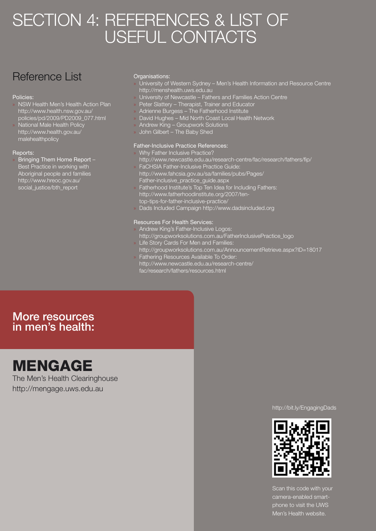## SECTION 4: REFERENCES & LIST OF USEFUL CONTACTS

### Reference List

#### Policies:

- » NSW Health Men's Health Action Plan http://www.health.nsw.gov.au/ policies/pd/2009/PD2009\_077.html
- » National Male Health Policy http://www.health.gov.au/ malehealthpolicy

#### Reports:

» Bringing Them Home Report – Best Practice in working with Aboriginal people and families http://www.hreoc.gov.au/ social\_justice/bth\_report

#### Organisations:

- » University of Western Sydney Men's Health Information and Resource Centre http://menshealth.uws.edu.au
- » University of Newcastle Fathers and Families Action Centre
- » Peter Slattery Therapist, Trainer and Educator
- » Adrienne Burgess The Fatherhood Institute
- » David Hughes Mid North Coast Local Health Network
- » Andrew King Groupwork Solutions
- » John Gilbert The Baby Shed

#### Father-Inclusive Practice References:

- » Why Father Inclusive Practice? http://www.newcastle.edu.au/research-centre/fac/research/fathers/fip/ » FaCHSIA Father-Inclusive Practice Guide:
- http://www.fahcsia.gov.au/sa/families/pubs/Pages/ Father-inclusive\_practice\_guide.aspx
- » Fatherhood Institute's Top Ten Idea for Including Fathers: http://www.fatherhoodinstitute.org/2007/tentop-tips-for-father-inclusive-practice/
- » Dads Included Campaign http://www.dadsincluded.org

#### Resources For Health Services:

- » Andrew King's Father-Inclusive Logos: http://groupworksolutions.com.au/FatherInclusivePractice\_logo
- » Life Story Cards For Men and Families: http://groupworksolutions.com.au/AnnouncementRetrieve.aspx?ID=18017 » Fathering Resources Available To Order:
- http://www.newcastle.edu.au/research-centre/ fac/research/fathers/resources.html

### More resources in men's health:

# **MENGAGE**<br>The Men's Health Clearinghouse

http://mengage.uws.edu.au

#### http://bit.ly/EngagingDads



Scan this code with your camera-enabled smartphone to visit the UWS Men's Health website.